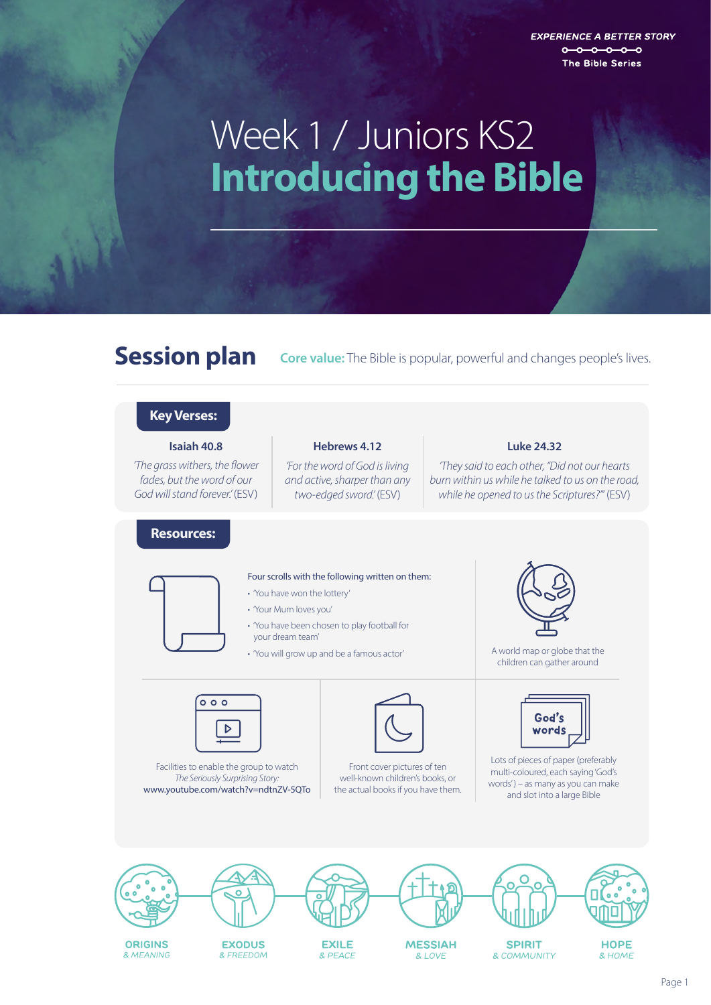**EXPERIENCE A BETTER STORY**  $0 - 0 - 0 - 0 - 0$ The Bible Series

# **Introducing the Bible** Week 1 / Juniors KS2

Session plan **Core value:** The Bible is popular, powerful and changes people's lives.



**ORIGINS** & MFANING

**EXILE & PFACE** 

**EXODUS** 

& FREEDOM

**MESSIAH**  $R$  I OVE

**SPIRIT** & COMMUNITY

**HOPE** & HOME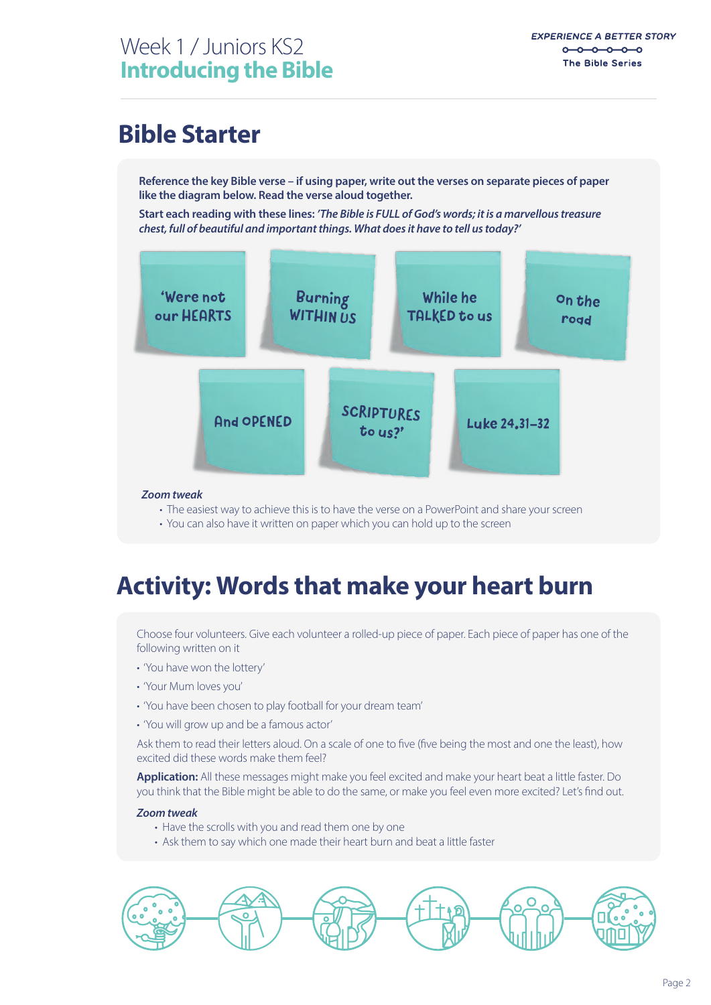### **Bible Starter**

**Reference the key Bible verse – if using paper, write out the verses on separate pieces of paper like the diagram below. Read the verse aloud together.**

**Start each reading with these lines:** *'The Bible is FULL of God's words; it is a marvellous treasure chest, full of beautiful and important things. What does it have to tell us today?'*



#### *Zoom tweak*

- The easiest way to achieve this is to have the verse on a PowerPoint and share your screen
- You can also have it written on paper which you can hold up to the screen

### **Activity: Words that make your heart burn**

Choose four volunteers. Give each volunteer a rolled-up piece of paper. Each piece of paper has one of the following written on it

- 'You have won the lottery'
- 'Your Mum loves you'
- 'You have been chosen to play football for your dream team'
- 'You will grow up and be a famous actor'

Ask them to read their letters aloud. On a scale of one to five (five being the most and one the least), how excited did these words make them feel?

**Application:** All these messages might make you feel excited and make your heart beat a little faster. Do you think that the Bible might be able to do the same, or make you feel even more excited? Let's find out.

#### *Zoom tweak*

- Have the scrolls with you and read them one by one
- Ask them to say which one made their heart burn and beat a little faster

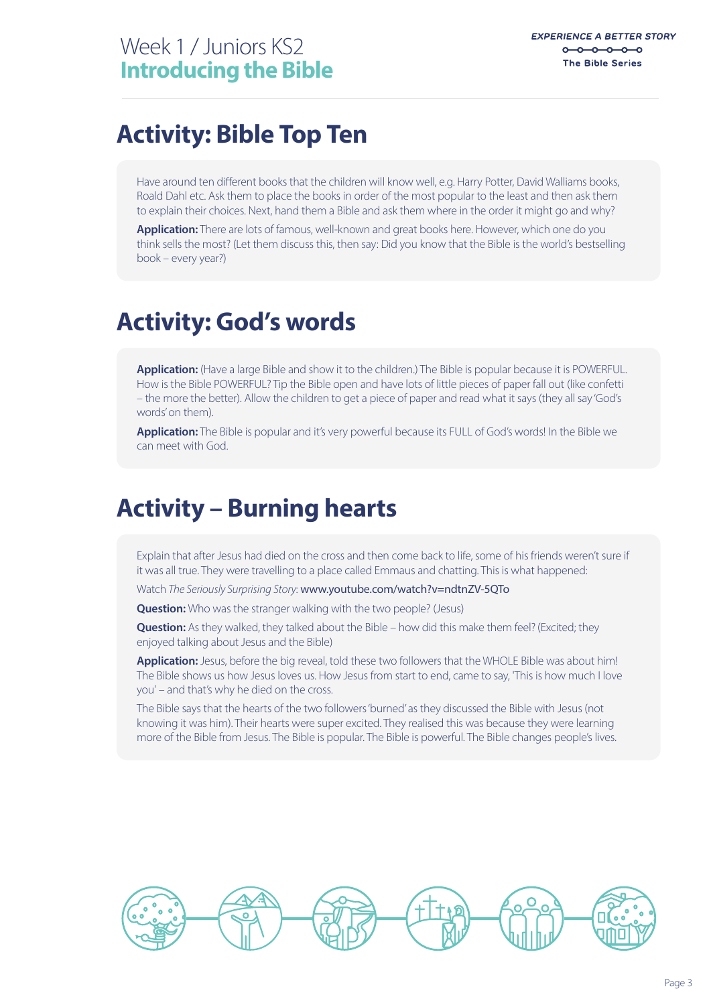### **Activity: Bible Top Ten**

Have around ten different books that the children will know well, e.g. Harry Potter, David Walliams books, Roald Dahl etc. Ask them to place the books in order of the most popular to the least and then ask them to explain their choices. Next, hand them a Bible and ask them where in the order it might go and why?

**Application:** There are lots of famous, well-known and great books here. However, which one do you think sells the most? (Let them discuss this, then say: Did you know that the Bible is the world's bestselling book – every year?)

#### **Activity: God's words**

**Application:** (Have a large Bible and show it to the children.) The Bible is popular because it is POWERFUL. How is the Bible POWERFUL? Tip the Bible open and have lots of little pieces of paper fall out (like confetti – the more the better). Allow the children to get a piece of paper and read what it says (they all say 'God's words' on them).

**Application:** The Bible is popular and it's very powerful because its FULL of God's words! In the Bible we can meet with God.

#### **Activity – Burning hearts**

Explain that after Jesus had died on the cross and then come back to life, some of his friends weren't sure if it was all true. They were travelling to a place called Emmaus and chatting. This is what happened:

Watch *The Seriously Surprising Story*: www.youtube.com/watch?v=ndtnZV-5QTo

**Question:** Who was the stranger walking with the two people? (Jesus)

**Question:** As they walked, they talked about the Bible – how did this make them feel? (Excited; they enjoyed talking about Jesus and the Bible)

**Application:** Jesus, before the big reveal, told these two followers that the WHOLE Bible was about him! The Bible shows us how Jesus loves us. How Jesus from start to end, came to say, 'This is how much I love you' – and that's why he died on the cross.

The Bible says that the hearts of the two followers 'burned' as they discussed the Bible with Jesus (not knowing it was him). Their hearts were super excited. They realised this was because they were learning more of the Bible from Jesus. The Bible is popular. The Bible is powerful. The Bible changes people's lives.

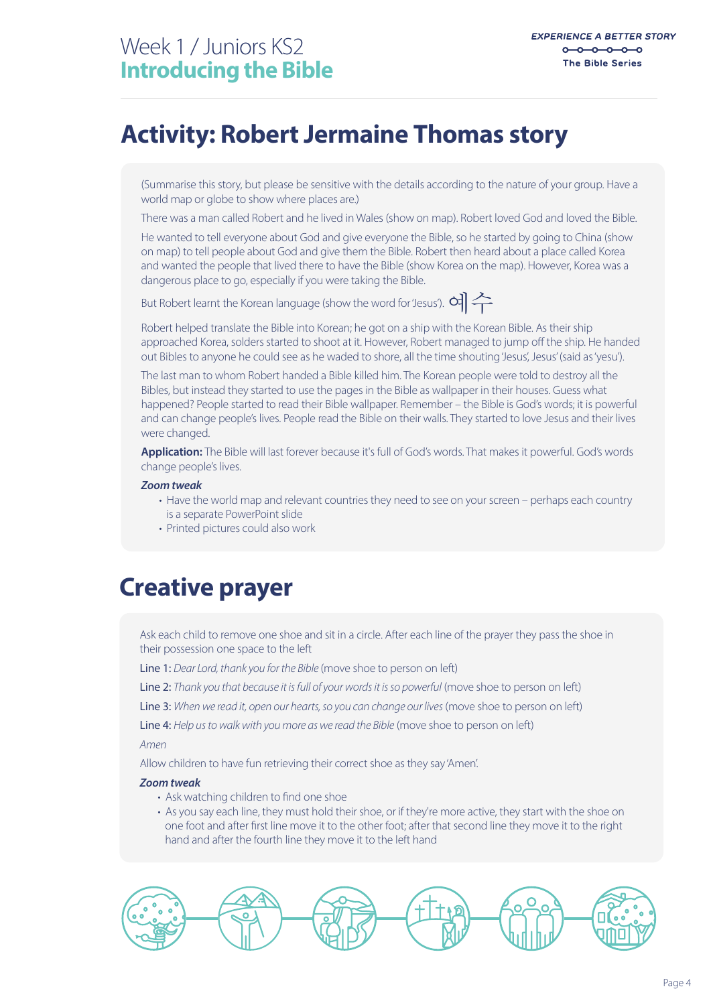### **Activity: Robert Jermaine Thomas story**

(Summarise this story, but please be sensitive with the details according to the nature of your group. Have a world map or globe to show where places are.)

There was a man called Robert and he lived in Wales (show on map). Robert loved God and loved the Bible.

He wanted to tell everyone about God and give everyone the Bible, so he started by going to China (show on map) to tell people about God and give them the Bible. Robert then heard about a place called Korea and wanted the people that lived there to have the Bible (show Korea on the map). However, Korea was a dangerous place to go, especially if you were taking the Bible.

But Robert learnt the Korean language (show the word for 'Jesus').  $d\geq$ 

Robert helped translate the Bible into Korean; he got on a ship with the Korean Bible. As their ship approached Korea, solders started to shoot at it. However, Robert managed to jump off the ship. He handed out Bibles to anyone he could see as he waded to shore, all the time shouting 'Jesus', Jesus' (said as 'yesu').

The last man to whom Robert handed a Bible killed him. The Korean people were told to destroy all the Bibles, but instead they started to use the pages in the Bible as wallpaper in their houses. Guess what happened? People started to read their Bible wallpaper. Remember – the Bible is God's words; it is powerful and can change people's lives. People read the Bible on their walls. They started to love Jesus and their lives were changed.

**Application:** The Bible will last forever because it's full of God's words. That makes it powerful. God's words change people's lives.

#### *Zoom tweak*

- Have the world map and relevant countries they need to see on your screen perhaps each country is a separate PowerPoint slide
- Printed pictures could also work

#### **Creative prayer**

Ask each child to remove one shoe and sit in a circle. After each line of the prayer they pass the shoe in their possession one space to the left

Line 1: *Dear Lord, thank you for the Bible* (move shoe to person on left)

Line 2: *Thank you that because it is full of your words it is so powerful* (move shoe to person on left)

Line 3: *When we read it, open our hearts, so you can change our lives* (move shoe to person on left)

Line 4: *Help us to walk with you more as we read the Bible* (move shoe to person on left)

*Amen*

Allow children to have fun retrieving their correct shoe as they say 'Amen'.

#### *Zoom tweak*

- Ask watching children to find one shoe
- As you say each line, they must hold their shoe, or if they're more active, they start with the shoe on one foot and after first line move it to the other foot; after that second line they move it to the right hand and after the fourth line they move it to the left hand